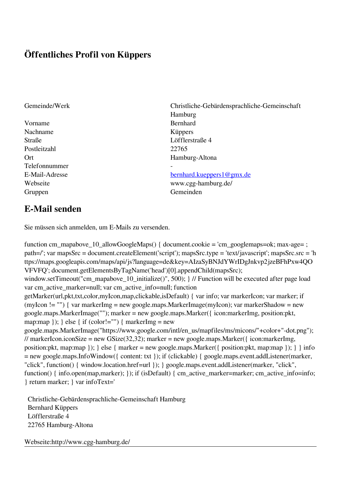## **Öffentliches Profil von Küppers**

Vorname Bernhard Nachname Küppers Straße Löfflerstraße 4 Postleitzahl 22765 Telefonnummer - Gruppen Gemeinden Gemeinden Gemeinden Gemeinden Gemeinden Gemeinden Gemeinden Gemeinden Gemeinden Gemeinden G

Gemeinde/Werk Christliche-Gebärdensprachliche-Gemeinschaft Hamburg Ort Hamburg-Altona

## E-Mail-Adresse [bernhard.kueppers1@gmx.de](mailto:bernhard.kueppers1@gmx.de)

Webseite www.cgg-hamburg.de/

## **E-Mail senden**

Sie müssen sich anmelden, um E-Mails zu versenden.

function cm\_mapabove\_10\_allowGoogleMaps() { document.cookie = 'cm\_googlemaps=ok; max-age= ; path=/'; var mapsSrc = document.createElement('script'); mapsSrc.type = 'text/javascript'; mapsSrc.src = 'h ttps://maps.googleapis.com/maps/api/js?language=de&key=AIzaSyBNJdYWrIDgJnkvp2jzeBFhPxw4QO VFVFQ'; document.getElementsByTagName('head')[0].appendChild(mapsSrc); window.setTimeout("cm\_mapabove\_10\_initialize()", 500); } // Function will be executed after page load var cm\_active\_marker=null; var cm\_active\_info=null; function getMarker(url,pkt,txt,color,myIcon,map,clickable,isDefault) { var info; var markerIcon; var marker; if (myIcon != "") { var markerImg = new google.maps.MarkerImage(myIcon); var markerShadow = new google.maps.MarkerImage(""); marker = new google.maps.Marker({ icon:markerImg, position:pkt, map:map  $\}$ ;  $\}$  else  $\{$  if (color!="")  $\{$  markerImg = new google.maps.MarkerImage("https://www.google.com/intl/en\_us/mapfiles/ms/micons/"+color+"-dot.png"); // markerIcon.iconSize = new GSize(32,32); marker = new google.maps.Marker({ $i$ con:markerImg, position:pkt, map:map  $\)$ ;  $\}$  else  $\{$  marker = new google.maps.Marker $(\{$  position:pkt, map:map  $\})$ ;  $\}$  info = new google.maps.InfoWindow({ content: txt }); if (clickable) { google.maps.event.addListener(marker, "click", function() { window.location.href=url }); } google.maps.event.addListener(marker, "click", function() { info.open(map,marker); }); if (isDefault) { cm\_active\_marker=marker; cm\_active\_info=info; } return marker; } var infoText='

 Christliche-Gebärdensprachliche-Gemeinschaft Hamburg Bernhard Küppers Löfflerstraße 4 22765 Hamburg-Altona

Webseite:http://www.cgg-hamburg.de/